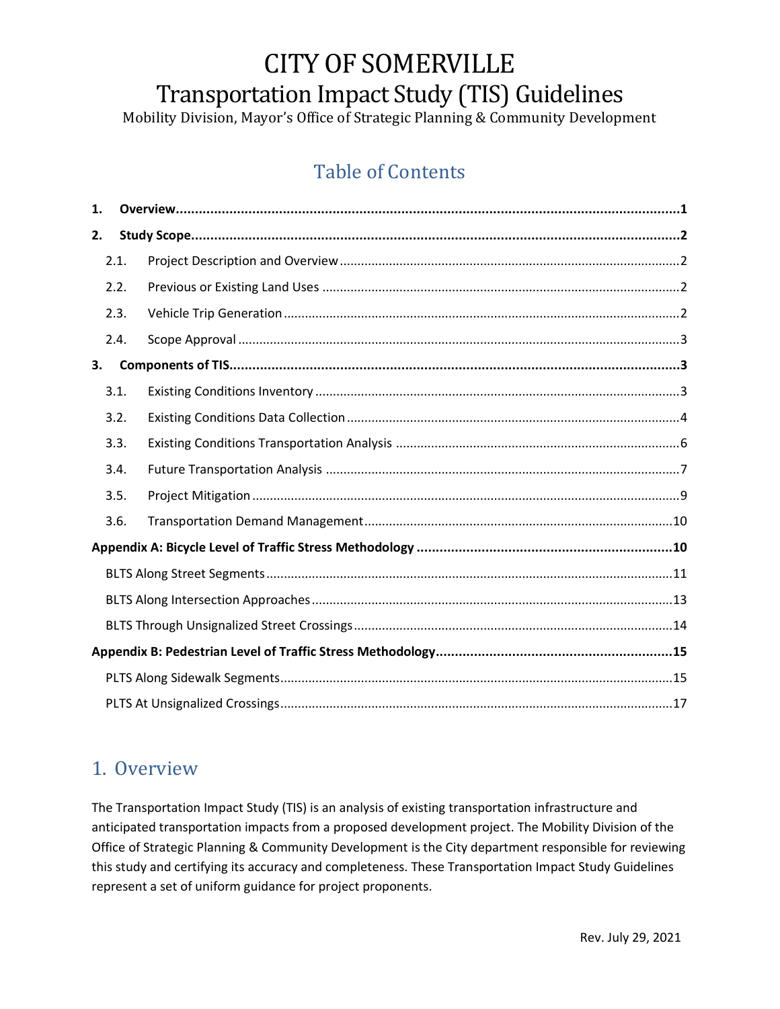# CITY OF SOMERVILLE Transportation Impact Study (TIS) Guidelines

Mobility Division, Mayor's Office of Strategic Planning & Community Development

# Table of Contents

| 1. |      |  |  |  |  |  |  |  |
|----|------|--|--|--|--|--|--|--|
| 2. |      |  |  |  |  |  |  |  |
|    | 2.1. |  |  |  |  |  |  |  |
|    | 2.2. |  |  |  |  |  |  |  |
|    | 2.3. |  |  |  |  |  |  |  |
|    | 2.4. |  |  |  |  |  |  |  |
| 3. |      |  |  |  |  |  |  |  |
|    | 3.1. |  |  |  |  |  |  |  |
|    | 3.2. |  |  |  |  |  |  |  |
|    | 3.3. |  |  |  |  |  |  |  |
|    | 3.4. |  |  |  |  |  |  |  |
|    | 3.5. |  |  |  |  |  |  |  |
|    | 3.6. |  |  |  |  |  |  |  |
|    |      |  |  |  |  |  |  |  |
|    |      |  |  |  |  |  |  |  |
|    |      |  |  |  |  |  |  |  |
|    |      |  |  |  |  |  |  |  |
|    |      |  |  |  |  |  |  |  |
|    |      |  |  |  |  |  |  |  |
|    |      |  |  |  |  |  |  |  |

### <span id="page-0-0"></span>1. Overview

The Transportation Impact Study (TIS) is an analysis of existing transportation infrastructure and anticipated transportation impacts from a proposed development project. The Mobility Division of the Office of Strategic Planning & Community Development is the City department responsible for reviewing this study and certifying its accuracy and completeness. These Transportation Impact Study Guidelines represent a set of uniform guidance for project proponents.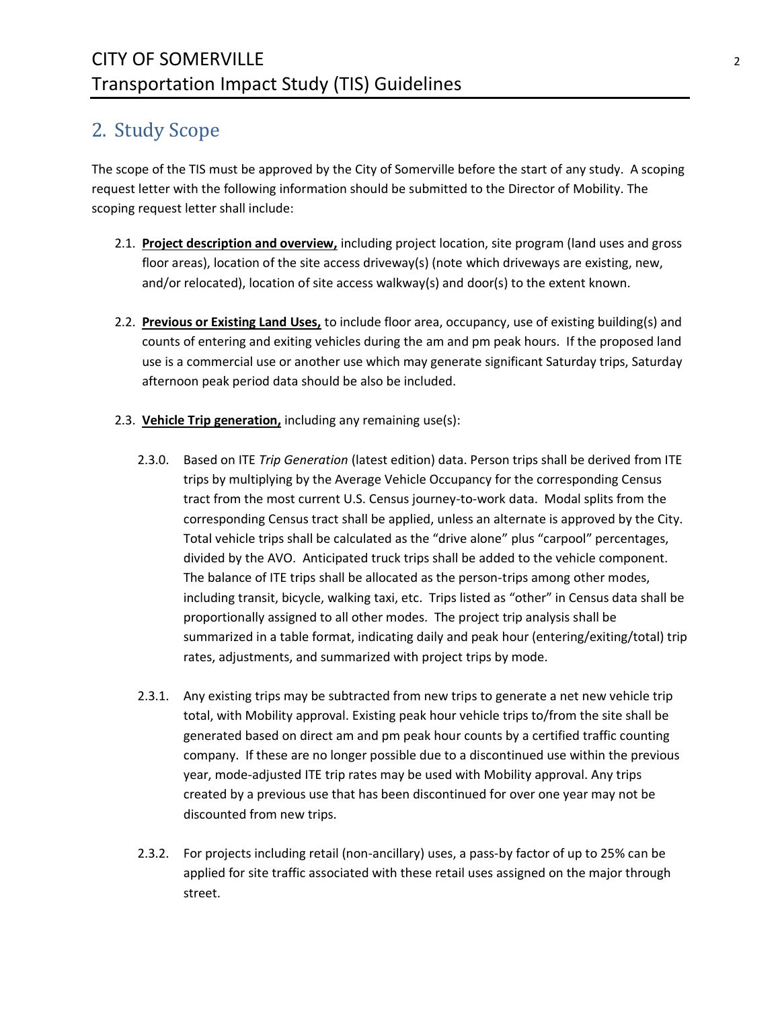# <span id="page-1-0"></span>2. Study Scope

The scope of the TIS must be approved by the City of Somerville before the start of any study. A scoping request letter with the following information should be submitted to the Director of Mobility. The scoping request letter shall include:

- <span id="page-1-1"></span>2.1. **Project description and overview,** including project location, site program (land uses and gross floor areas), location of the site access driveway(s) (note which driveways are existing, new, and/or relocated), location of site access walkway(s) and door(s) to the extent known.
- <span id="page-1-2"></span>2.2. **Previous or Existing Land Uses,** to include floor area, occupancy, use of existing building(s) and counts of entering and exiting vehicles during the am and pm peak hours. If the proposed land use is a commercial use or another use which may generate significant Saturday trips, Saturday afternoon peak period data should be also be included.
- <span id="page-1-3"></span>2.3. **Vehicle Trip generation,** including any remaining use(s):
	- 2.3.0. Based on ITE *Trip Generation* (latest edition) data. Person trips shall be derived from ITE trips by multiplying by the Average Vehicle Occupancy for the corresponding Census tract from the most current U.S. Census journey-to-work data. Modal splits from the corresponding Census tract shall be applied, unless an alternate is approved by the City. Total vehicle trips shall be calculated as the "drive alone" plus "carpool" percentages, divided by the AVO. Anticipated truck trips shall be added to the vehicle component. The balance of ITE trips shall be allocated as the person-trips among other modes, including transit, bicycle, walking taxi, etc. Trips listed as "other" in Census data shall be proportionally assigned to all other modes. The project trip analysis shall be summarized in a table format, indicating daily and peak hour (entering/exiting/total) trip rates, adjustments, and summarized with project trips by mode.
	- 2.3.1. Any existing trips may be subtracted from new trips to generate a net new vehicle trip total, with Mobility approval. Existing peak hour vehicle trips to/from the site shall be generated based on direct am and pm peak hour counts by a certified traffic counting company. If these are no longer possible due to a discontinued use within the previous year, mode-adjusted ITE trip rates may be used with Mobility approval. Any trips created by a previous use that has been discontinued for over one year may not be discounted from new trips.
	- 2.3.2. For projects including retail (non-ancillary) uses, a pass-by factor of up to 25% can be applied for site traffic associated with these retail uses assigned on the major through street.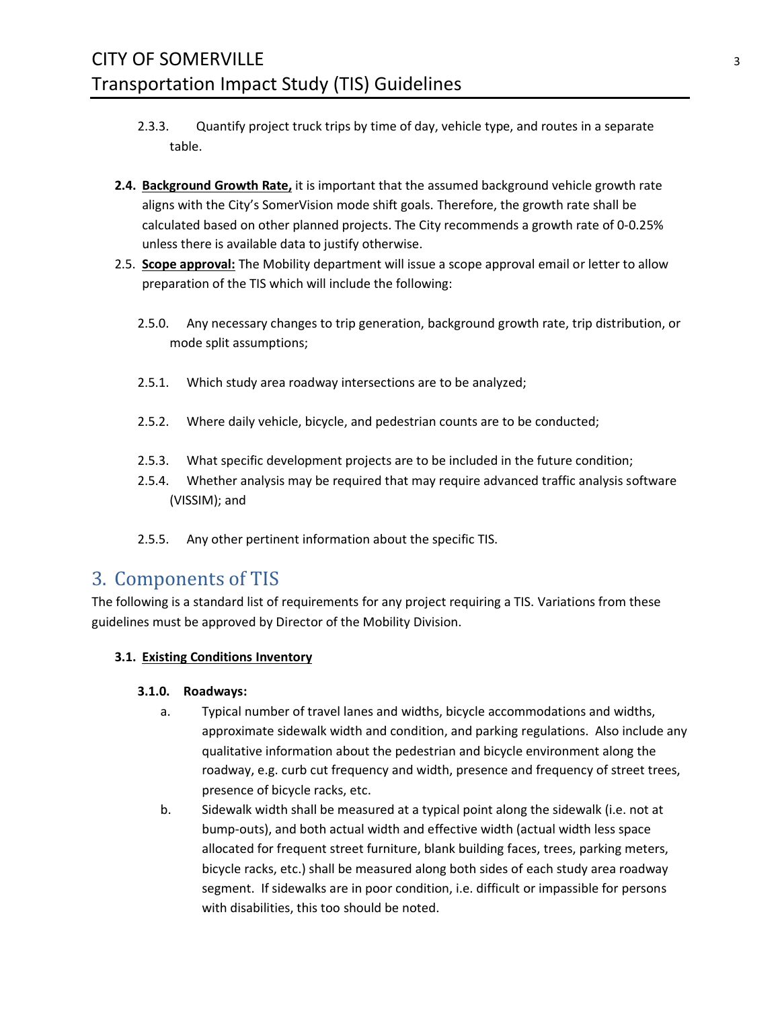- 2.3.3. Quantify project truck trips by time of day, vehicle type, and routes in a separate table.
- **2.4. Background Growth Rate,** it is important that the assumed background vehicle growth rate aligns with the City's SomerVision mode shift goals. Therefore, the growth rate shall be calculated based on other planned projects. The City recommends a growth rate of 0-0.25% unless there is available data to justify otherwise.
- <span id="page-2-0"></span>2.5. **Scope approval:** The Mobility department will issue a scope approval email or letter to allow preparation of the TIS which will include the following:
	- 2.5.0. Any necessary changes to trip generation, background growth rate, trip distribution, or mode split assumptions;
	- 2.5.1. Which study area roadway intersections are to be analyzed;
	- 2.5.2. Where daily vehicle, bicycle, and pedestrian counts are to be conducted;
	- 2.5.3. What specific development projects are to be included in the future condition;
	- 2.5.4. Whether analysis may be required that may require advanced traffic analysis software (VISSIM); and
	- 2.5.5. Any other pertinent information about the specific TIS.

## <span id="page-2-1"></span>3. Components of TIS

The following is a standard list of requirements for any project requiring a TIS. Variations from these guidelines must be approved by Director of the Mobility Division.

### <span id="page-2-2"></span>**3.1. Existing Conditions Inventory**

### **3.1.0. Roadways:**

- a. Typical number of travel lanes and widths, bicycle accommodations and widths, approximate sidewalk width and condition, and parking regulations. Also include any qualitative information about the pedestrian and bicycle environment along the roadway, e.g. curb cut frequency and width, presence and frequency of street trees, presence of bicycle racks, etc.
- b. Sidewalk width shall be measured at a typical point along the sidewalk (i.e. not at bump-outs), and both actual width and effective width (actual width less space allocated for frequent street furniture, blank building faces, trees, parking meters, bicycle racks, etc.) shall be measured along both sides of each study area roadway segment. If sidewalks are in poor condition, i.e. difficult or impassible for persons with disabilities, this too should be noted.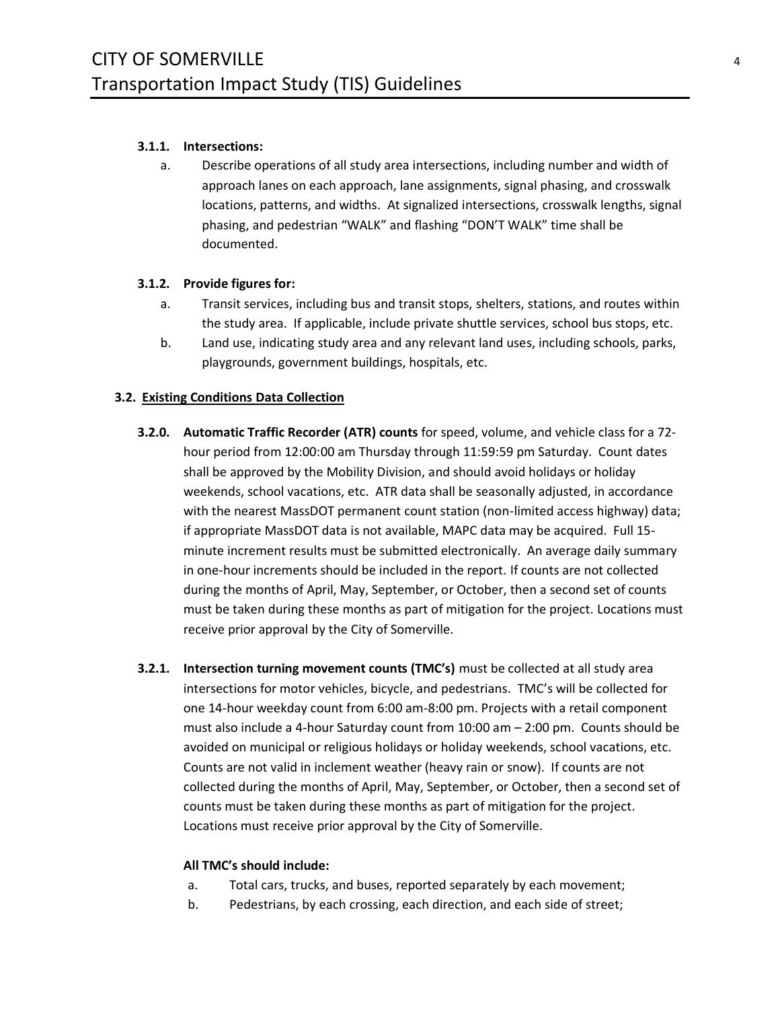### **3.1.1. Intersections:**

a. Describe operations of all study area intersections, including number and width of approach lanes on each approach, lane assignments, signal phasing, and crosswalk locations, patterns, and widths. At signalized intersections, crosswalk lengths, signal phasing, and pedestrian "WALK" and flashing "DON'T WALK" time shall be documented.

### **3.1.2. Provide figures for:**

- a. Transit services, including bus and transit stops, shelters, stations, and routes within the study area. If applicable, include private shuttle services, school bus stops, etc.
- b. Land use, indicating study area and any relevant land uses, including schools, parks, playgrounds, government buildings, hospitals, etc.

### <span id="page-3-0"></span>**3.2. Existing Conditions Data Collection**

- **3.2.0. Automatic Traffic Recorder (ATR) counts** for speed, volume, and vehicle class for a 72 hour period from 12:00:00 am Thursday through 11:59:59 pm Saturday. Count dates shall be approved by the Mobility Division, and should avoid holidays or holiday weekends, school vacations, etc. ATR data shall be seasonally adjusted, in accordance with the nearest MassDOT permanent count station (non-limited access highway) data; if appropriate MassDOT data is not available, MAPC data may be acquired. Full 15 minute increment results must be submitted electronically. An average daily summary in one-hour increments should be included in the report. If counts are not collected during the months of April, May, September, or October, then a second set of counts must be taken during these months as part of mitigation for the project. Locations must receive prior approval by the City of Somerville.
- **3.2.1. Intersection turning movement counts (TMC's)** must be collected at all study area intersections for motor vehicles, bicycle, and pedestrians. TMC's will be collected for one 14-hour weekday count from 6:00 am-8:00 pm. Projects with a retail component must also include a 4-hour Saturday count from 10:00 am – 2:00 pm. Counts should be avoided on municipal or religious holidays or holiday weekends, school vacations, etc. Counts are not valid in inclement weather (heavy rain or snow). If counts are not collected during the months of April, May, September, or October, then a second set of counts must be taken during these months as part of mitigation for the project. Locations must receive prior approval by the City of Somerville.

#### **All TMC's should include:**

- a. Total cars, trucks, and buses, reported separately by each movement;
- b. Pedestrians, by each crossing, each direction, and each side of street;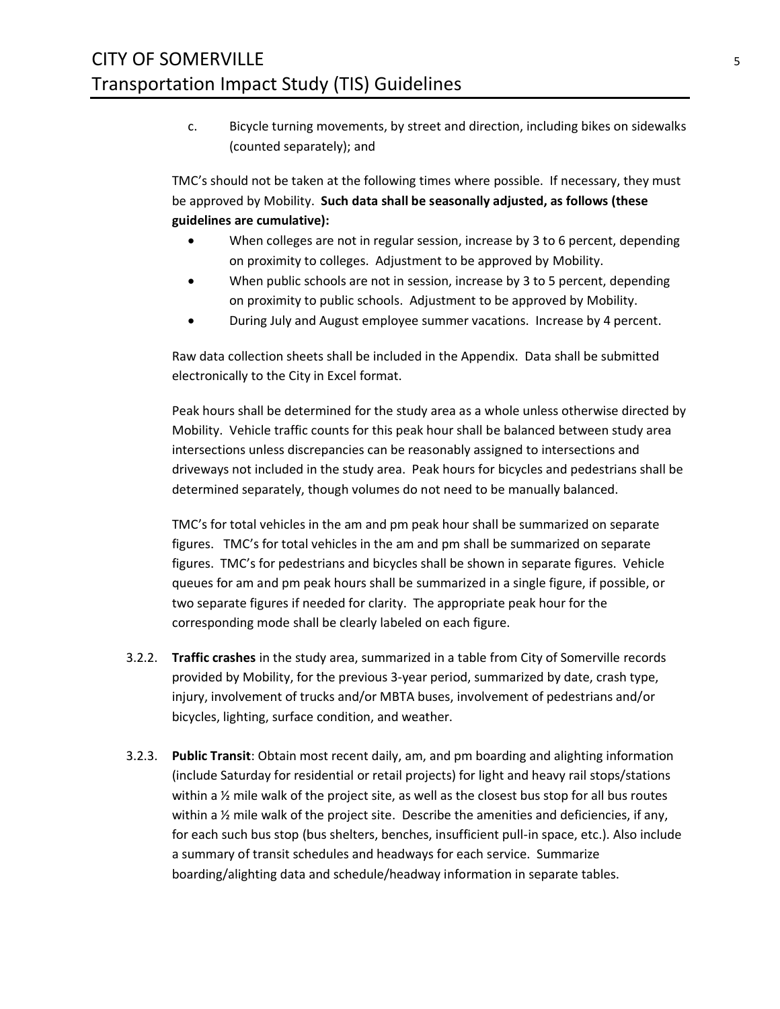c. Bicycle turning movements, by street and direction, including bikes on sidewalks (counted separately); and

TMC's should not be taken at the following times where possible. If necessary, they must be approved by Mobility. **Such data shall be seasonally adjusted, as follows (these guidelines are cumulative):**

- When colleges are not in regular session, increase by 3 to 6 percent, depending on proximity to colleges. Adjustment to be approved by Mobility.
- When public schools are not in session, increase by 3 to 5 percent, depending on proximity to public schools. Adjustment to be approved by Mobility.
- During July and August employee summer vacations. Increase by 4 percent.

Raw data collection sheets shall be included in the Appendix. Data shall be submitted electronically to the City in Excel format.

Peak hours shall be determined for the study area as a whole unless otherwise directed by Mobility. Vehicle traffic counts for this peak hour shall be balanced between study area intersections unless discrepancies can be reasonably assigned to intersections and driveways not included in the study area. Peak hours for bicycles and pedestrians shall be determined separately, though volumes do not need to be manually balanced.

TMC's for total vehicles in the am and pm peak hour shall be summarized on separate figures. TMC's for total vehicles in the am and pm shall be summarized on separate figures. TMC's for pedestrians and bicycles shall be shown in separate figures. Vehicle queues for am and pm peak hours shall be summarized in a single figure, if possible, or two separate figures if needed for clarity. The appropriate peak hour for the corresponding mode shall be clearly labeled on each figure.

- 3.2.2. **Traffic crashes** in the study area, summarized in a table from City of Somerville records provided by Mobility, for the previous 3-year period, summarized by date, crash type, injury, involvement of trucks and/or MBTA buses, involvement of pedestrians and/or bicycles, lighting, surface condition, and weather.
- 3.2.3. **Public Transit**: Obtain most recent daily, am, and pm boarding and alighting information (include Saturday for residential or retail projects) for light and heavy rail stops/stations within a  $\frac{1}{2}$  mile walk of the project site, as well as the closest bus stop for all bus routes within a  $\frac{1}{2}$  mile walk of the project site. Describe the amenities and deficiencies, if any, for each such bus stop (bus shelters, benches, insufficient pull-in space, etc.). Also include a summary of transit schedules and headways for each service. Summarize boarding/alighting data and schedule/headway information in separate tables.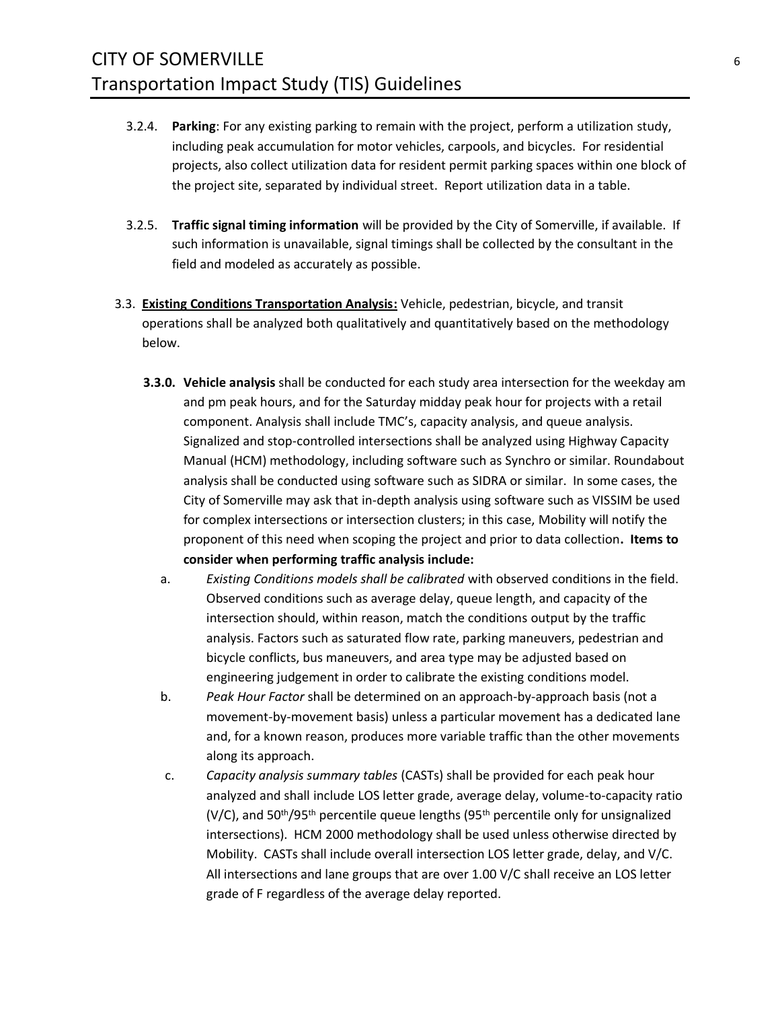- 3.2.4. **Parking**: For any existing parking to remain with the project, perform a utilization study, including peak accumulation for motor vehicles, carpools, and bicycles. For residential projects, also collect utilization data for resident permit parking spaces within one block of the project site, separated by individual street. Report utilization data in a table.
- 3.2.5. **Traffic signal timing information** will be provided by the City of Somerville, if available. If such information is unavailable, signal timings shall be collected by the consultant in the field and modeled as accurately as possible.
- <span id="page-5-0"></span>3.3. **Existing Conditions Transportation Analysis:** Vehicle, pedestrian, bicycle, and transit operations shall be analyzed both qualitatively and quantitatively based on the methodology below.
	- **3.3.0. Vehicle analysis** shall be conducted for each study area intersection for the weekday am and pm peak hours, and for the Saturday midday peak hour for projects with a retail component. Analysis shall include TMC's, capacity analysis, and queue analysis. Signalized and stop-controlled intersections shall be analyzed using Highway Capacity Manual (HCM) methodology, including software such as Synchro or similar. Roundabout analysis shall be conducted using software such as SIDRA or similar. In some cases, the City of Somerville may ask that in-depth analysis using software such as VISSIM be used for complex intersections or intersection clusters; in this case, Mobility will notify the proponent of this need when scoping the project and prior to data collection**. Items to consider when performing traffic analysis include:**
		- a. *Existing Conditions models shall be calibrated* with observed conditions in the field. Observed conditions such as average delay, queue length, and capacity of the intersection should, within reason, match the conditions output by the traffic analysis. Factors such as saturated flow rate, parking maneuvers, pedestrian and bicycle conflicts, bus maneuvers, and area type may be adjusted based on engineering judgement in order to calibrate the existing conditions model.
		- b. *Peak Hour Factor* shall be determined on an approach-by-approach basis (not a movement-by-movement basis) unless a particular movement has a dedicated lane and, for a known reason, produces more variable traffic than the other movements along its approach.
		- c. *Capacity analysis summary tables* (CASTs) shall be provided for each peak hour analyzed and shall include LOS letter grade, average delay, volume-to-capacity ratio (V/C), and  $50<sup>th</sup>/95<sup>th</sup>$  percentile queue lengths (95<sup>th</sup> percentile only for unsignalized intersections). HCM 2000 methodology shall be used unless otherwise directed by Mobility. CASTs shall include overall intersection LOS letter grade, delay, and V/C. All intersections and lane groups that are over 1.00 V/C shall receive an LOS letter grade of F regardless of the average delay reported.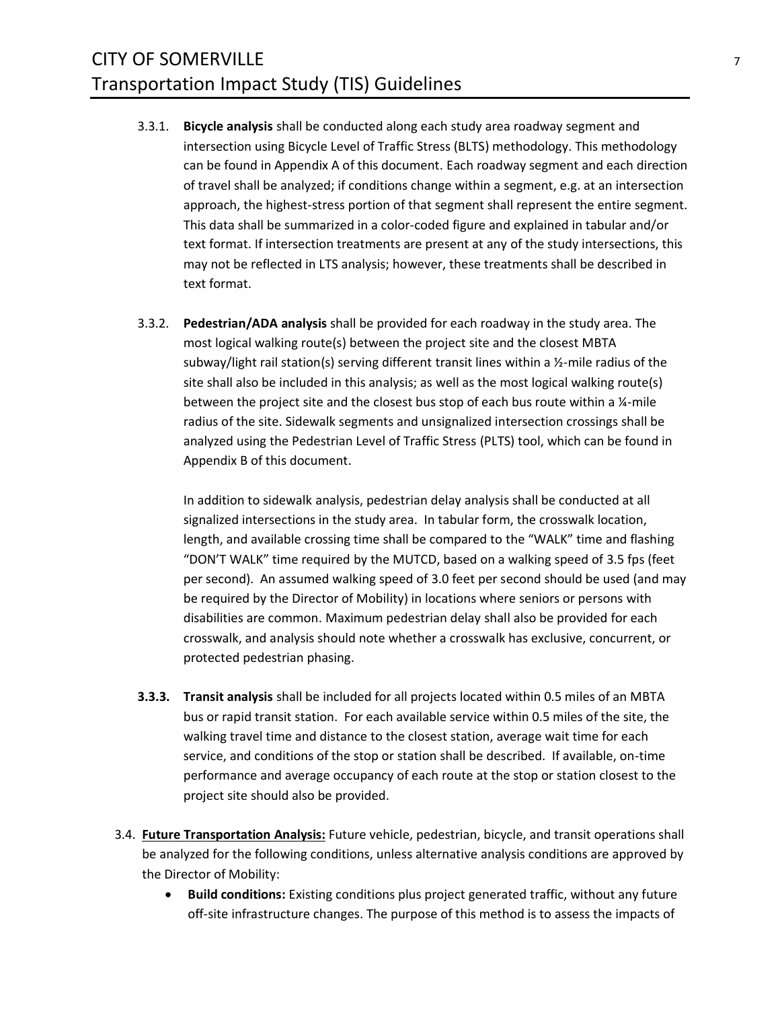- <span id="page-6-1"></span>3.3.1. **Bicycle analysis** shall be conducted along each study area roadway segment and intersection using Bicycle Level of Traffic Stress (BLTS) methodology. This methodology can be found in Appendix A of this document. Each roadway segment and each direction of travel shall be analyzed; if conditions change within a segment, e.g. at an intersection approach, the highest-stress portion of that segment shall represent the entire segment. This data shall be summarized in a color-coded figure and explained in tabular and/or text format. If intersection treatments are present at any of the study intersections, this may not be reflected in LTS analysis; however, these treatments shall be described in text format.
- 3.3.2. **Pedestrian/ADA analysis** shall be provided for each roadway in the study area. The most logical walking route(s) between the project site and the closest MBTA subway/light rail station(s) serving different transit lines within a ½-mile radius of the site shall also be included in this analysis; as well as the most logical walking route(s) between the project site and the closest bus stop of each bus route within a 1/4-mile radius of the site. Sidewalk segments and unsignalized intersection crossings shall be analyzed using the Pedestrian Level of Traffic Stress (PLTS) tool, which can be found in Appendix B of this document.

In addition to sidewalk analysis, pedestrian delay analysis shall be conducted at all signalized intersections in the study area. In tabular form, the crosswalk location, length, and available crossing time shall be compared to the "WALK" time and flashing "DON'T WALK" time required by the MUTCD, based on a walking speed of 3.5 fps (feet per second). An assumed walking speed of 3.0 feet per second should be used (and may be required by the Director of Mobility) in locations where seniors or persons with disabilities are common. Maximum pedestrian delay shall also be provided for each crosswalk, and analysis should note whether a crosswalk has exclusive, concurrent, or protected pedestrian phasing.

- **3.3.3. Transit analysis** shall be included for all projects located within 0.5 miles of an MBTA bus or rapid transit station. For each available service within 0.5 miles of the site, the walking travel time and distance to the closest station, average wait time for each service, and conditions of the stop or station shall be described. If available, on-time performance and average occupancy of each route at the stop or station closest to the project site should also be provided.
- <span id="page-6-0"></span>3.4. **Future Transportation Analysis:** Future vehicle, pedestrian, bicycle, and transit operations shall be analyzed for the following conditions, unless alternative analysis conditions are approved by the Director of Mobility:
	- **Build conditions:** Existing conditions plus project generated traffic, without any future off-site infrastructure changes. The purpose of this method is to assess the impacts of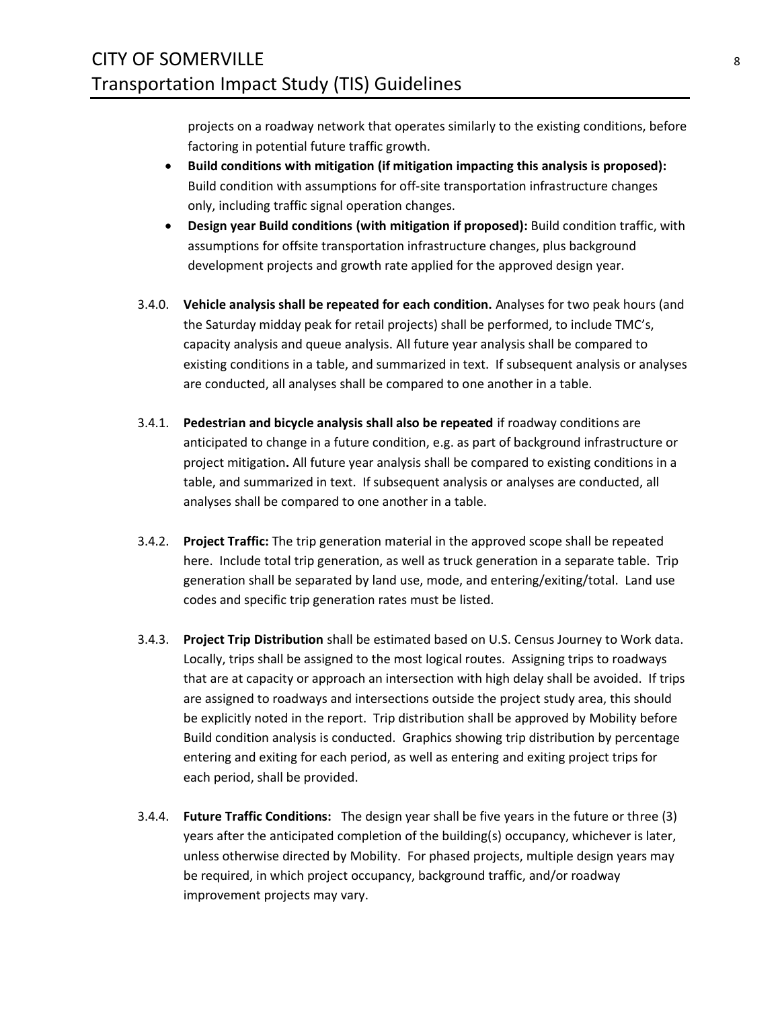projects on a roadway network that operates similarly to the existing conditions, before factoring in potential future traffic growth.

- **Build conditions with mitigation (if mitigation impacting this analysis is proposed):**  Build condition with assumptions for off-site transportation infrastructure changes only, including traffic signal operation changes.
- **Design year Build conditions (with mitigation if proposed):** Build condition traffic, with assumptions for offsite transportation infrastructure changes, plus background development projects and growth rate applied for the approved design year.
- 3.4.0. **Vehicle analysis shall be repeated for each condition.** Analyses for two peak hours (and the Saturday midday peak for retail projects) shall be performed, to include TMC's, capacity analysis and queue analysis. All future year analysis shall be compared to existing conditions in a table, and summarized in text. If subsequent analysis or analyses are conducted, all analyses shall be compared to one another in a table.
- 3.4.1. **Pedestrian and bicycle analysis shall also be repeated** if roadway conditions are anticipated to change in a future condition, e.g. as part of background infrastructure or project mitigation**.** All future year analysis shall be compared to existing conditions in a table, and summarized in text. If subsequent analysis or analyses are conducted, all analyses shall be compared to one another in a table.
- 3.4.2. **Project Traffic:** The trip generation material in the approved scope shall be repeated here. Include total trip generation, as well as truck generation in a separate table. Trip generation shall be separated by land use, mode, and entering/exiting/total. Land use codes and specific trip generation rates must be listed.
- 3.4.3. **Project Trip Distribution** shall be estimated based on U.S. Census Journey to Work data. Locally, trips shall be assigned to the most logical routes. Assigning trips to roadways that are at capacity or approach an intersection with high delay shall be avoided. If trips are assigned to roadways and intersections outside the project study area, this should be explicitly noted in the report. Trip distribution shall be approved by Mobility before Build condition analysis is conducted. Graphics showing trip distribution by percentage entering and exiting for each period, as well as entering and exiting project trips for each period, shall be provided.
- 3.4.4. **Future Traffic Conditions:** The design year shall be five years in the future or three (3) years after the anticipated completion of the building(s) occupancy, whichever is later, unless otherwise directed by Mobility. For phased projects, multiple design years may be required, in which project occupancy, background traffic, and/or roadway improvement projects may vary.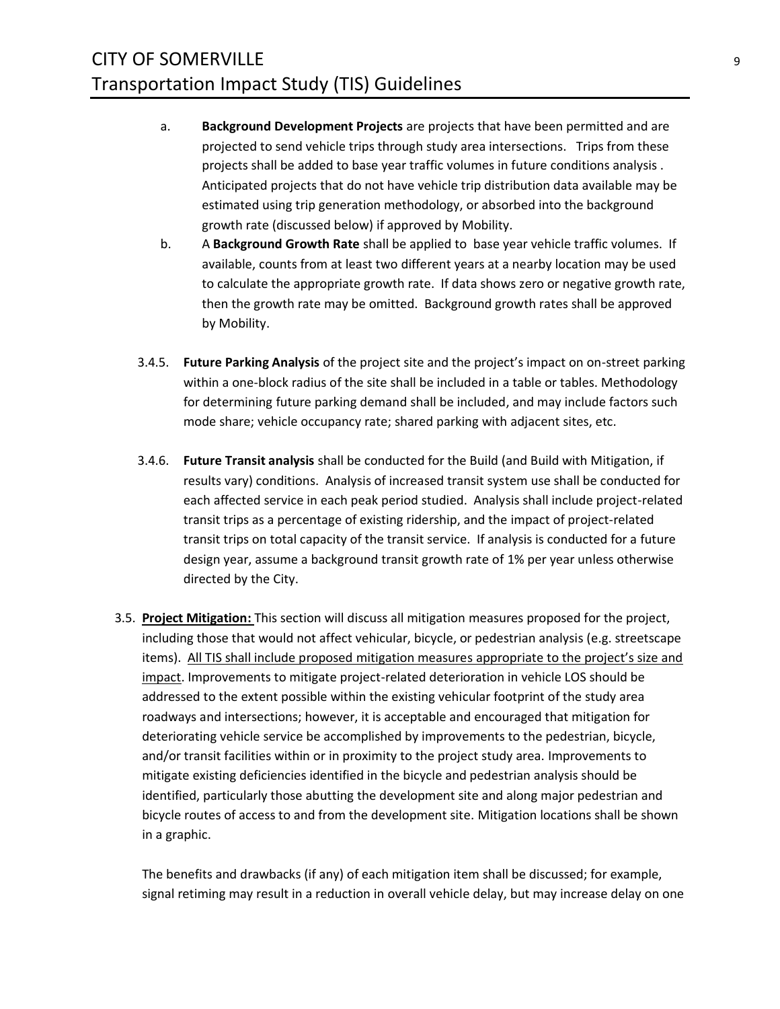- a. **Background Development Projects** are projects that have been permitted and are projected to send vehicle trips through study area intersections. Trips from these projects shall be added to base year traffic volumes in future conditions analysis . Anticipated projects that do not have vehicle trip distribution data available may be estimated using trip generation methodology, or absorbed into the background growth rate (discussed below) if approved by Mobility.
- b. A **Background Growth Rate** shall be applied to base year vehicle traffic volumes. If available, counts from at least two different years at a nearby location may be used to calculate the appropriate growth rate. If data shows zero or negative growth rate, then the growth rate may be omitted. Background growth rates shall be approved by Mobility.
- 3.4.5. **Future Parking Analysis** of the project site and the project's impact on on-street parking within a one-block radius of the site shall be included in a table or tables. Methodology for determining future parking demand shall be included, and may include factors such mode share; vehicle occupancy rate; shared parking with adjacent sites, etc.
- 3.4.6. **Future Transit analysis** shall be conducted for the Build (and Build with Mitigation, if results vary) conditions. Analysis of increased transit system use shall be conducted for each affected service in each peak period studied. Analysis shall include project-related transit trips as a percentage of existing ridership, and the impact of project-related transit trips on total capacity of the transit service. If analysis is conducted for a future design year, assume a background transit growth rate of 1% per year unless otherwise directed by the City.
- <span id="page-8-0"></span>3.5. **Project Mitigation:** This section will discuss all mitigation measures proposed for the project, including those that would not affect vehicular, bicycle, or pedestrian analysis (e.g. streetscape items). All TIS shall include proposed mitigation measures appropriate to the project's size and impact. Improvements to mitigate project-related deterioration in vehicle LOS should be addressed to the extent possible within the existing vehicular footprint of the study area roadways and intersections; however, it is acceptable and encouraged that mitigation for deteriorating vehicle service be accomplished by improvements to the pedestrian, bicycle, and/or transit facilities within or in proximity to the project study area. Improvements to mitigate existing deficiencies identified in the bicycle and pedestrian analysis should be identified, particularly those abutting the development site and along major pedestrian and bicycle routes of access to and from the development site. Mitigation locations shall be shown in a graphic.

The benefits and drawbacks (if any) of each mitigation item shall be discussed; for example, signal retiming may result in a reduction in overall vehicle delay, but may increase delay on one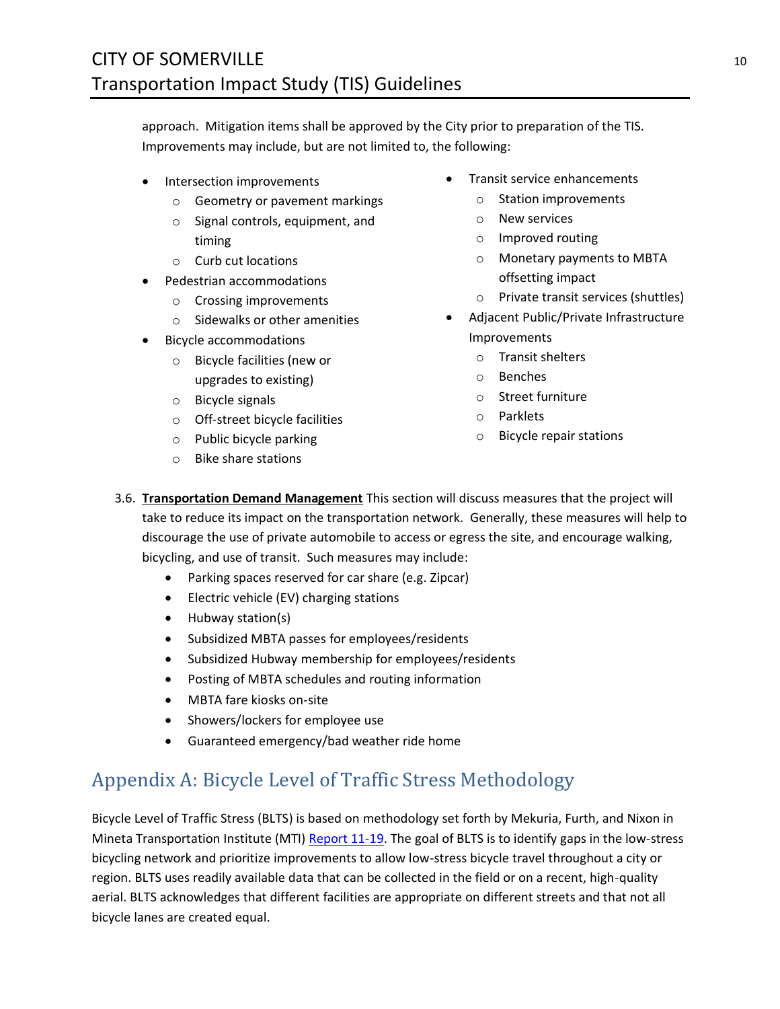approach. Mitigation items shall be approved by the City prior to preparation of the TIS. Improvements may include, but are not limited to, the following:

- Intersection improvements
	- o Geometry or pavement markings
	- o Signal controls, equipment, and timing
	- o Curb cut locations
- Pedestrian accommodations
	- o Crossing improvements
	- o Sidewalks or other amenities
- Bicycle accommodations
	- o Bicycle facilities (new or upgrades to existing)
	- o Bicycle signals
	- o Off-street bicycle facilities
	- o Public bicycle parking
	- o Bike share stations
- Transit service enhancements
	- o Station improvements
	- o New services
	- o Improved routing
	- o Monetary payments to MBTA offsetting impact
	- o Private transit services (shuttles)
- Adjacent Public/Private Infrastructure Improvements
	- o Transit shelters
	- o Benches
	- o Street furniture
	- o Parklets
	- o Bicycle repair stations
- <span id="page-9-0"></span>3.6. **Transportation Demand Management** This section will discuss measures that the project will take to reduce its impact on the transportation network. Generally, these measures will help to discourage the use of private automobile to access or egress the site, and encourage walking, bicycling, and use of transit. Such measures may include:
	- Parking spaces reserved for car share (e.g. Zipcar)
	- Electric vehicle (EV) charging stations
	- Hubway station(s)
	- Subsidized MBTA passes for employees/residents
	- Subsidized Hubway membership for employees/residents
	- Posting of MBTA schedules and routing information
	- MBTA fare kiosks on-site
	- Showers/lockers for employee use
	- Guaranteed emergency/bad weather ride home

# <span id="page-9-1"></span>Appendix A: Bicycle Level of Traffic Stress Methodology

Bicycle Level of Traffic Stress (BLTS) is based on methodology set forth by Mekuria, Furth, and Nixon in Mineta Transportation Institute (MTI[\) Report 11-19.](https://transweb.sjsu.edu/sites/default/files/1005-low-stress-bicycling-network-connectivity.pdf) The goal of BLTS is to identify gaps in the low-stress bicycling network and prioritize improvements to allow low-stress bicycle travel throughout a city or region. BLTS uses readily available data that can be collected in the field or on a recent, high-quality aerial. BLTS acknowledges that different facilities are appropriate on different streets and that not all bicycle lanes are created equal.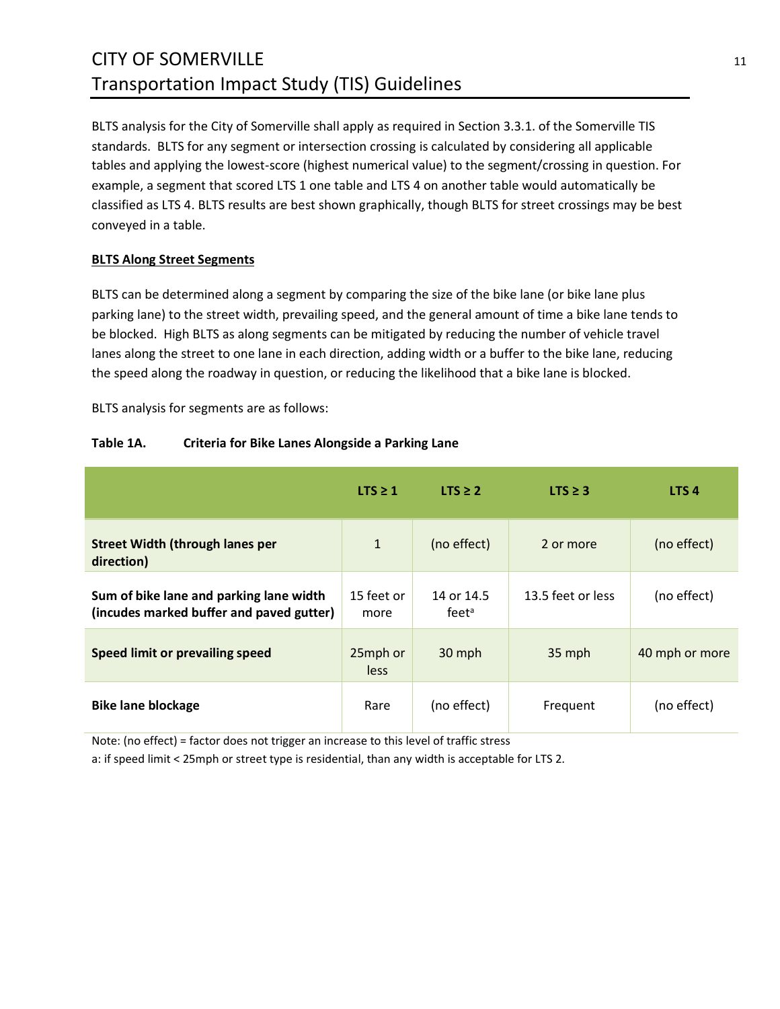# CITY OF SOMERVILLE 11 Transportation Impact Study (TIS) Guidelines

BLTS analysis for the City of Somerville shall apply as required in Section [3.3.1. o](#page-6-1)f the Somerville TIS standards. BLTS for any segment or intersection crossing is calculated by considering all applicable tables and applying the lowest-score (highest numerical value) to the segment/crossing in question. For example, a segment that scored LTS 1 one table and LTS 4 on another table would automatically be classified as LTS 4. BLTS results are best shown graphically, though BLTS for street crossings may be best conveyed in a table.

### <span id="page-10-0"></span>**BLTS Along Street Segments**

BLTS can be determined along a segment by comparing the size of the bike lane (or bike lane plus parking lane) to the street width, prevailing speed, and the general amount of time a bike lane tends to be blocked. High BLTS as along segments can be mitigated by reducing the number of vehicle travel lanes along the street to one lane in each direction, adding width or a buffer to the bike lane, reducing the speed along the roadway in question, or reducing the likelihood that a bike lane is blocked.

BLTS analysis for segments are as follows:

|                                                                                     | LTS $\geq$ 1       | $LTS \geq 2$                    | LTS $\geq$ 3      | LTS <sub>4</sub> |
|-------------------------------------------------------------------------------------|--------------------|---------------------------------|-------------------|------------------|
| <b>Street Width (through lanes per</b><br>direction)                                | $\mathbf{1}$       | (no effect)                     | 2 or more         | (no effect)      |
| Sum of bike lane and parking lane width<br>(incudes marked buffer and paved gutter) | 15 feet or<br>more | 14 or 14.5<br>feet <sup>a</sup> | 13.5 feet or less | (no effect)      |
| Speed limit or prevailing speed                                                     | 25mph or<br>less   | 30 mph                          | 35 mph            | 40 mph or more   |
| <b>Bike lane blockage</b>                                                           | Rare               | (no effect)                     | Frequent          | (no effect)      |

### **Table 1A. Criteria for Bike Lanes Alongside a Parking Lane**

Note: (no effect) = factor does not trigger an increase to this level of traffic stress

a: if speed limit < 25mph or street type is residential, than any width is acceptable for LTS 2.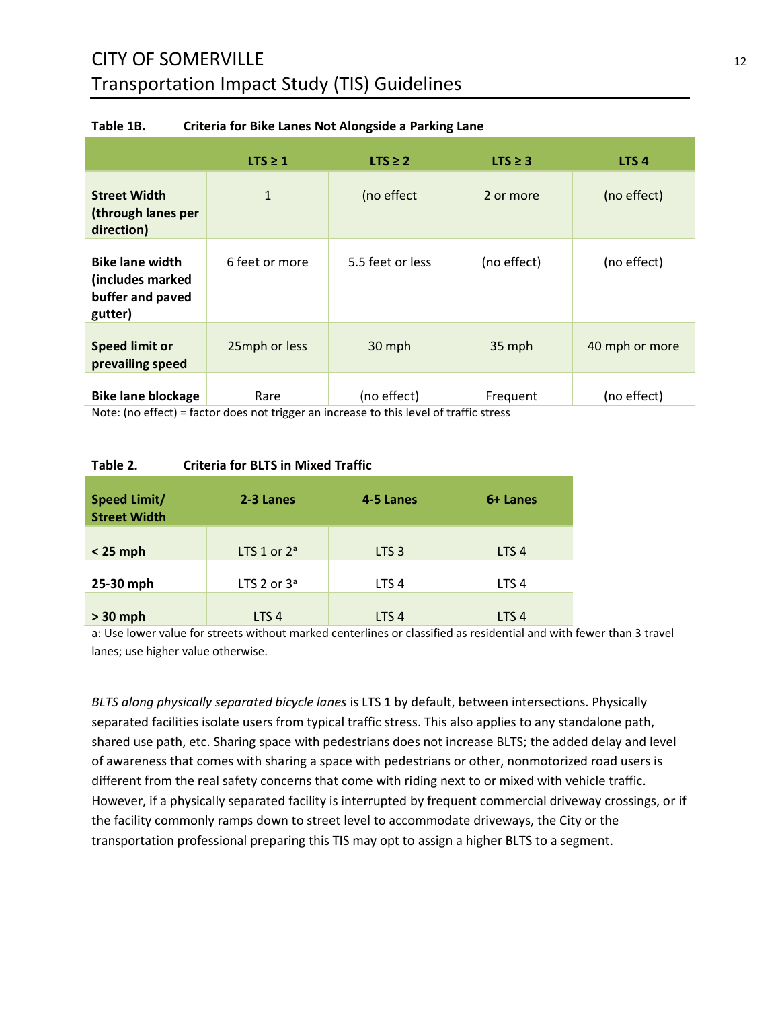# CITY OF SOMERVILLE 12 Transportation Impact Study (TIS) Guidelines

|                                                                           | $LTS \geq 1$   | $LTS \geq 2$     | $LTS \geq 3$ | LTS <sub>4</sub> |
|---------------------------------------------------------------------------|----------------|------------------|--------------|------------------|
| <b>Street Width</b><br>(through lanes per<br>direction)                   | $\mathbf{1}$   | (no effect       | 2 or more    | (no effect)      |
| <b>Bike lane width</b><br>(includes marked<br>buffer and paved<br>gutter) | 6 feet or more | 5.5 feet or less | (no effect)  | (no effect)      |
| <b>Speed limit or</b><br>prevailing speed                                 | 25mph or less  | 30 mph           | 35 mph       | 40 mph or more   |
| <b>Bike lane blockage</b>                                                 | Rare           | (no effect)      | Frequent     | (no effect)      |

#### **Table 1B. Criteria for Bike Lanes Not Alongside a Parking Lane**

Note: (no effect) = factor does not trigger an increase to this level of traffic stress

#### **Table 2. Criteria for BLTS in Mixed Traffic**

| <b>Speed Limit/</b><br><b>Street Width</b> | 2-3 Lanes        | 4-5 Lanes        | 6+ Lanes         |
|--------------------------------------------|------------------|------------------|------------------|
| $< 25$ mph                                 | LTS 1 or $2^a$   | LTS <sub>3</sub> | LTS <sub>4</sub> |
| 25-30 mph                                  | LTS 2 or $3a$    | LTS <sub>4</sub> | LTS <sub>4</sub> |
| $> 30$ mph                                 | LTS <sub>4</sub> | LTS <sub>4</sub> | LTS <sub>4</sub> |

a: Use lower value for streets without marked centerlines or classified as residential and with fewer than 3 travel lanes; use higher value otherwise.

*BLTS along physically separated bicycle lanes* is LTS 1 by default, between intersections. Physically separated facilities isolate users from typical traffic stress. This also applies to any standalone path, shared use path, etc. Sharing space with pedestrians does not increase BLTS; the added delay and level of awareness that comes with sharing a space with pedestrians or other, nonmotorized road users is different from the real safety concerns that come with riding next to or mixed with vehicle traffic. However, if a physically separated facility is interrupted by frequent commercial driveway crossings, or if the facility commonly ramps down to street level to accommodate driveways, the City or the transportation professional preparing this TIS may opt to assign a higher BLTS to a segment.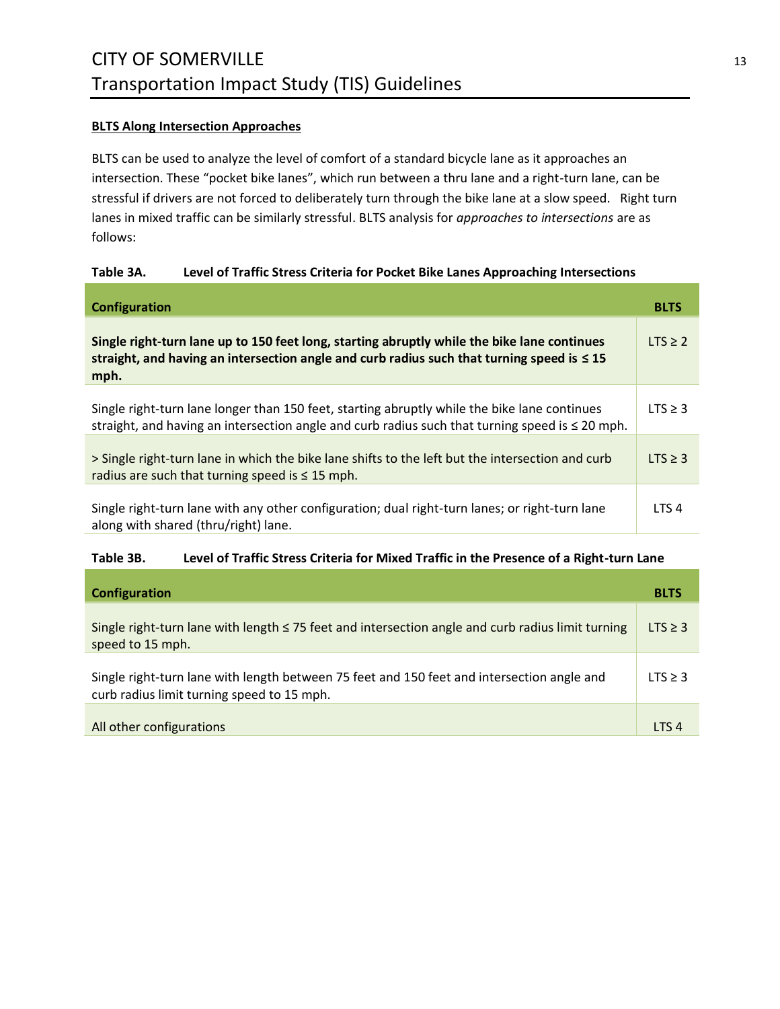#### <span id="page-12-0"></span>**BLTS Along Intersection Approaches**

BLTS can be used to analyze the level of comfort of a standard bicycle lane as it approaches an intersection. These "pocket bike lanes", which run between a thru lane and a right-turn lane, can be stressful if drivers are not forced to deliberately turn through the bike lane at a slow speed. Right turn lanes in mixed traffic can be similarly stressful. BLTS analysis for *approaches to intersections* are as follows:

### **Table 3A. Level of Traffic Stress Criteria for Pocket Bike Lanes Approaching Intersections**

| Configuration                                                                                                                                                                                          | <b>BLTS</b>      |
|--------------------------------------------------------------------------------------------------------------------------------------------------------------------------------------------------------|------------------|
| Single right-turn lane up to 150 feet long, starting abruptly while the bike lane continues<br>straight, and having an intersection angle and curb radius such that turning speed is $\leq 15$<br>mph. | LTS > 2          |
| Single right-turn lane longer than 150 feet, starting abruptly while the bike lane continues<br>straight, and having an intersection angle and curb radius such that turning speed is $\leq$ 20 mph.   | LTS $\geq$ 3     |
| > Single right-turn lane in which the bike lane shifts to the left but the intersection and curb<br>radius are such that turning speed is $\leq$ 15 mph.                                               | $LTS \geq 3$     |
| Single right-turn lane with any other configuration; dual right-turn lanes; or right-turn lane<br>along with shared (thru/right) lane.                                                                 | LTS <sub>4</sub> |

#### **Table 3B. Level of Traffic Stress Criteria for Mixed Traffic in the Presence of a Right-turn Lane**

| <b>Configuration</b>                                                                                                                     | <b>BLTS</b>  |
|------------------------------------------------------------------------------------------------------------------------------------------|--------------|
| Single right-turn lane with length $\leq$ 75 feet and intersection angle and curb radius limit turning<br>speed to 15 mph.               | $LTS \geq 3$ |
| Single right-turn lane with length between 75 feet and 150 feet and intersection angle and<br>curb radius limit turning speed to 15 mph. | $LTS \geq 3$ |
| All other configurations                                                                                                                 | <b>ITS4</b>  |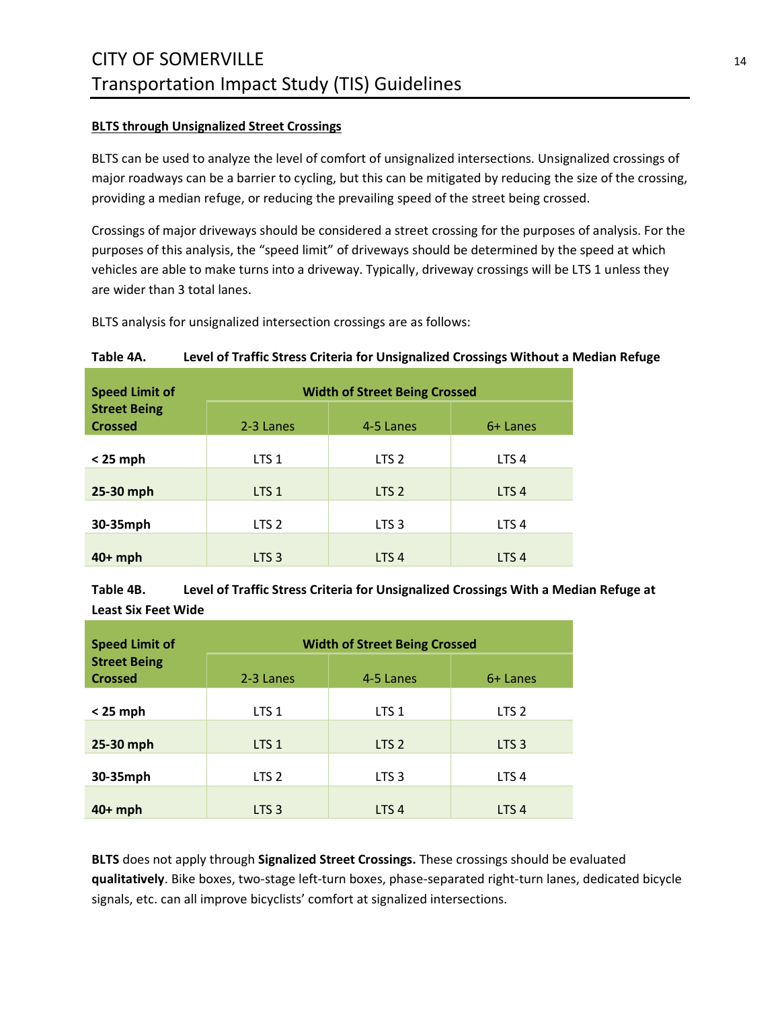### <span id="page-13-0"></span>**BLTS through Unsignalized Street Crossings**

BLTS can be used to analyze the level of comfort of unsignalized intersections. Unsignalized crossings of major roadways can be a barrier to cycling, but this can be mitigated by reducing the size of the crossing, providing a median refuge, or reducing the prevailing speed of the street being crossed.

Crossings of major driveways should be considered a street crossing for the purposes of analysis. For the purposes of this analysis, the "speed limit" of driveways should be determined by the speed at which vehicles are able to make turns into a driveway. Typically, driveway crossings will be LTS 1 unless they are wider than 3 total lanes.

BLTS analysis for unsignalized intersection crossings are as follows:

#### **Table 4A. Level of Traffic Stress Criteria for Unsignalized Crossings Without a Median Refuge**

| <b>Speed Limit of</b>                 | <b>Width of Street Being Crossed</b> |                  |                  |  |  |  |
|---------------------------------------|--------------------------------------|------------------|------------------|--|--|--|
| <b>Street Being</b><br><b>Crossed</b> | 2-3 Lanes                            | 4-5 Lanes        | 6+ Lanes         |  |  |  |
| $< 25$ mph                            | LTS <sub>1</sub>                     | LTS <sub>2</sub> | LTS <sub>4</sub> |  |  |  |
| 25-30 mph                             | LTS <sub>1</sub>                     | LTS <sub>2</sub> | LTS <sub>4</sub> |  |  |  |
| 30-35mph                              | LTS <sub>2</sub>                     | LTS <sub>3</sub> | LTS <sub>4</sub> |  |  |  |
| $40+mph$                              | LTS <sub>3</sub>                     | LTS <sub>4</sub> | LTS <sub>4</sub> |  |  |  |

**Table 4B. Level of Traffic Stress Criteria for Unsignalized Crossings With a Median Refuge at Least Six Feet Wide**

| <b>Speed Limit of</b>                 | <b>Width of Street Being Crossed</b> |                  |                  |  |  |  |
|---------------------------------------|--------------------------------------|------------------|------------------|--|--|--|
| <b>Street Being</b><br><b>Crossed</b> | 2-3 Lanes                            | 4-5 Lanes        | 6+ Lanes         |  |  |  |
| $< 25$ mph                            | LTS <sub>1</sub>                     | LTS <sub>1</sub> | LTS <sub>2</sub> |  |  |  |
| 25-30 mph                             | LTS <sub>1</sub>                     | LTS <sub>2</sub> | LTS <sub>3</sub> |  |  |  |
| 30-35mph                              | LTS <sub>2</sub>                     | LTS <sub>3</sub> | LTS <sub>4</sub> |  |  |  |
| $40+mph$                              | LTS <sub>3</sub>                     | LTS <sub>4</sub> | LTS <sub>4</sub> |  |  |  |

**BLTS** does not apply through **Signalized Street Crossings.** These crossings should be evaluated **qualitatively**. Bike boxes, two-stage left-turn boxes, phase-separated right-turn lanes, dedicated bicycle signals, etc. can all improve bicyclists' comfort at signalized intersections.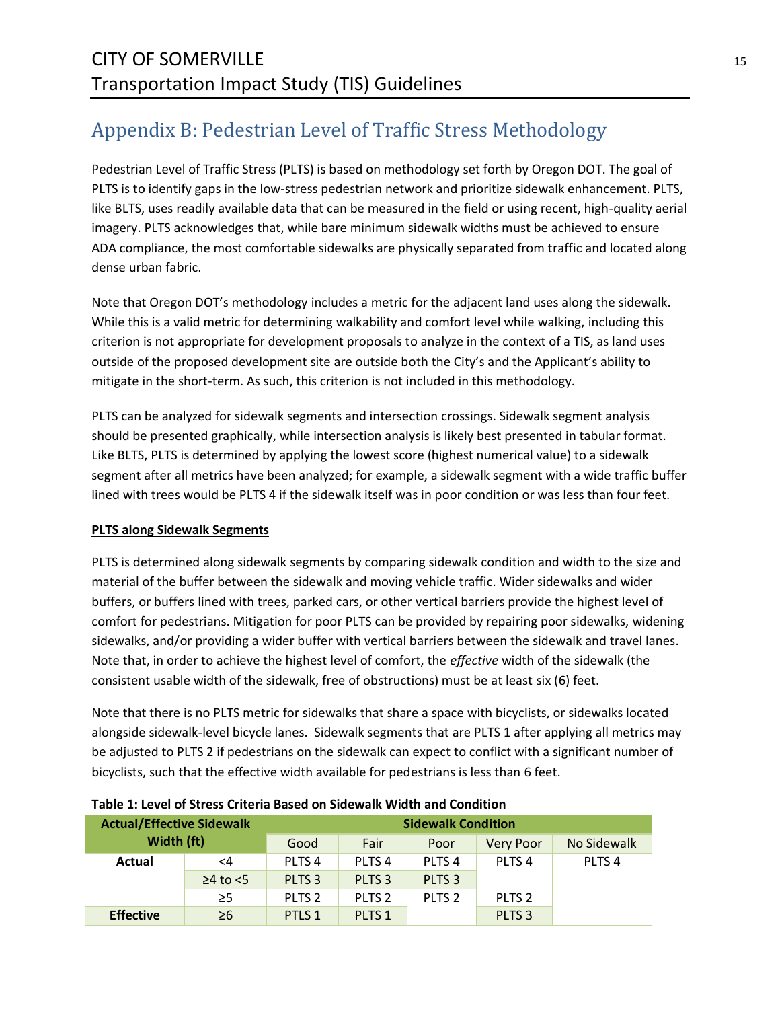# <span id="page-14-0"></span>Appendix B: Pedestrian Level of Traffic Stress Methodology

Pedestrian Level of Traffic Stress (PLTS) is based on methodology set forth by Oregon DOT. The goal of PLTS is to identify gaps in the low-stress pedestrian network and prioritize sidewalk enhancement. PLTS, like BLTS, uses readily available data that can be measured in the field or using recent, high-quality aerial imagery. PLTS acknowledges that, while bare minimum sidewalk widths must be achieved to ensure ADA compliance, the most comfortable sidewalks are physically separated from traffic and located along dense urban fabric.

Note that Oregon DOT's methodology includes a metric for the adjacent land uses along the sidewalk. While this is a valid metric for determining walkability and comfort level while walking, including this criterion is not appropriate for development proposals to analyze in the context of a TIS, as land uses outside of the proposed development site are outside both the City's and the Applicant's ability to mitigate in the short-term. As such, this criterion is not included in this methodology.

PLTS can be analyzed for sidewalk segments and intersection crossings. Sidewalk segment analysis should be presented graphically, while intersection analysis is likely best presented in tabular format. Like BLTS, PLTS is determined by applying the lowest score (highest numerical value) to a sidewalk segment after all metrics have been analyzed; for example, a sidewalk segment with a wide traffic buffer lined with trees would be PLTS 4 if the sidewalk itself was in poor condition or was less than four feet.

### <span id="page-14-1"></span>**PLTS along Sidewalk Segments**

PLTS is determined along sidewalk segments by comparing sidewalk condition and width to the size and material of the buffer between the sidewalk and moving vehicle traffic. Wider sidewalks and wider buffers, or buffers lined with trees, parked cars, or other vertical barriers provide the highest level of comfort for pedestrians. Mitigation for poor PLTS can be provided by repairing poor sidewalks, widening sidewalks, and/or providing a wider buffer with vertical barriers between the sidewalk and travel lanes. Note that, in order to achieve the highest level of comfort, the *effective* width of the sidewalk (the consistent usable width of the sidewalk, free of obstructions) must be at least six (6) feet.

Note that there is no PLTS metric for sidewalks that share a space with bicyclists, or sidewalks located alongside sidewalk-level bicycle lanes. Sidewalk segments that are PLTS 1 after applying all metrics may be adjusted to PLTS 2 if pedestrians on the sidewalk can expect to conflict with a significant number of bicyclists, such that the effective width available for pedestrians is less than 6 feet.

| <b>Actual/Effective Sidewalk</b> |                      | <b>Sidewalk Condition</b> |                   |                   |                   |                   |  |
|----------------------------------|----------------------|---------------------------|-------------------|-------------------|-------------------|-------------------|--|
| Width (ft)                       |                      | Good                      | Fair              | Poor              | <b>Very Poor</b>  | No Sidewalk       |  |
| Actual                           | $\leq$ 4             | PLTS <sub>4</sub>         | PLTS <sub>4</sub> | PLTS <sub>4</sub> | PLTS <sub>4</sub> | PLTS <sub>4</sub> |  |
|                                  | $\geq$ 4 to $\leq$ 5 | PLTS <sub>3</sub>         | PLTS <sub>3</sub> | PLTS <sub>3</sub> |                   |                   |  |
|                                  | $\geq$ 5             | PLTS <sub>2</sub>         | PLTS <sub>2</sub> | PLTS <sub>2</sub> | PLTS <sub>2</sub> |                   |  |
| <b>Effective</b>                 | $\geq 6$             | PTLS <sub>1</sub>         | PLTS <sub>1</sub> |                   | PLTS <sub>3</sub> |                   |  |

#### **Table 1: Level of Stress Criteria Based on Sidewalk Width and Condition**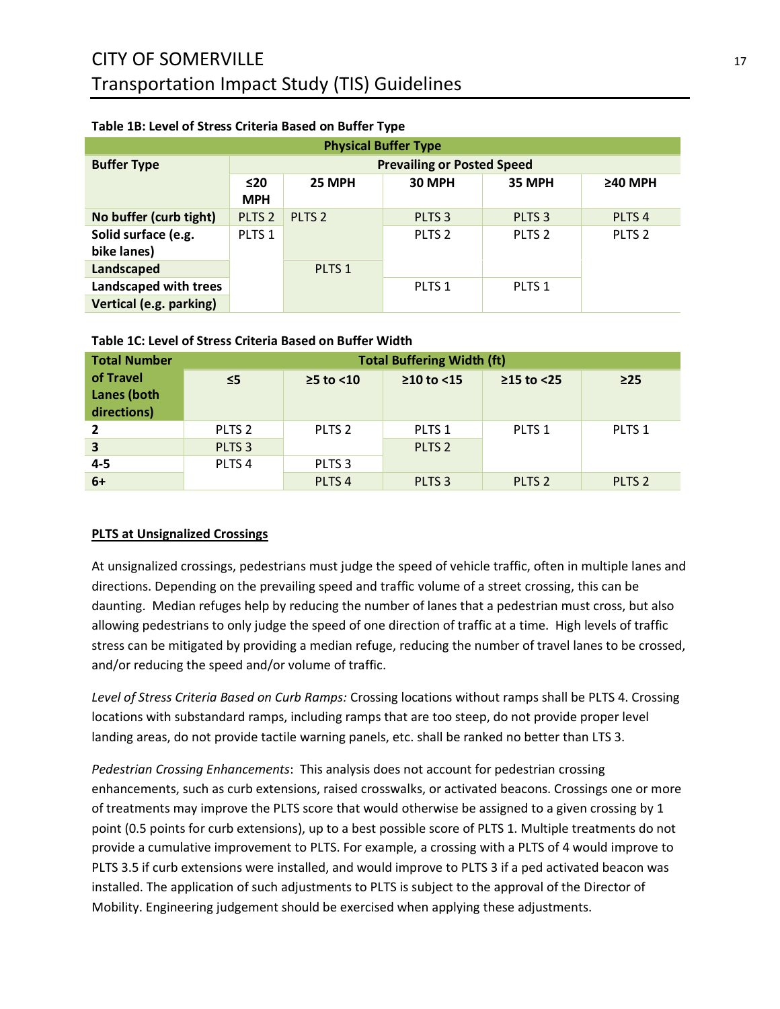| <b>Physical Buffer Type</b> |                                   |                   |                   |                   |                   |  |  |
|-----------------------------|-----------------------------------|-------------------|-------------------|-------------------|-------------------|--|--|
| <b>Buffer Type</b>          | <b>Prevailing or Posted Speed</b> |                   |                   |                   |                   |  |  |
|                             | ≤20                               | 25 MPH            | 30 MPH            | 35 MPH            | $\geq$ 40 MPH     |  |  |
|                             | <b>MPH</b>                        |                   |                   |                   |                   |  |  |
| No buffer (curb tight)      | PLTS <sub>2</sub>                 | PLTS <sub>2</sub> | PLTS <sub>3</sub> | PLTS <sub>3</sub> | PLTS <sub>4</sub> |  |  |
| Solid surface (e.g.         | PLTS <sub>1</sub>                 |                   | PLTS <sub>2</sub> | PLTS <sub>2</sub> | PLTS <sub>2</sub> |  |  |
| bike lanes)                 |                                   |                   |                   |                   |                   |  |  |
| Landscaped                  |                                   | PLTS <sub>1</sub> |                   |                   |                   |  |  |
| Landscaped with trees       |                                   |                   | PLTS <sub>1</sub> | PLTS <sub>1</sub> |                   |  |  |
| Vertical (e.g. parking)     |                                   |                   |                   |                   |                   |  |  |

### **Table 1B: Level of Stress Criteria Based on Buffer Type**

#### **Total Number of Travel Lanes (both directions) Total Buffering Width (ft) ≤5 ≥5 to <10 ≥10 to <15 ≥15 to <25 ≥25 2** PLTS 2 PLTS 2 PLTS 1 PLTS 1 PLTS 1 **3** PLTS 3 PLTS 2 **4-5** PLTS 4 PLTS 3 **6+** PLTS 4 PLTS 3 PLTS 2 PLTS 2

### **Table 1C: Level of Stress Criteria Based on Buffer Width**

### <span id="page-16-0"></span>**PLTS at Unsignalized Crossings**

At unsignalized crossings, pedestrians must judge the speed of vehicle traffic, often in multiple lanes and directions. Depending on the prevailing speed and traffic volume of a street crossing, this can be daunting. Median refuges help by reducing the number of lanes that a pedestrian must cross, but also allowing pedestrians to only judge the speed of one direction of traffic at a time. High levels of traffic stress can be mitigated by providing a median refuge, reducing the number of travel lanes to be crossed, and/or reducing the speed and/or volume of traffic.

*Level of Stress Criteria Based on Curb Ramps:* Crossing locations without ramps shall be PLTS 4. Crossing locations with substandard ramps, including ramps that are too steep, do not provide proper level landing areas, do not provide tactile warning panels, etc. shall be ranked no better than LTS 3.

*Pedestrian Crossing Enhancements*: This analysis does not account for pedestrian crossing enhancements, such as curb extensions, raised crosswalks, or activated beacons. Crossings one or more of treatments may improve the PLTS score that would otherwise be assigned to a given crossing by 1 point (0.5 points for curb extensions), up to a best possible score of PLTS 1. Multiple treatments do not provide a cumulative improvement to PLTS. For example, a crossing with a PLTS of 4 would improve to PLTS 3.5 if curb extensions were installed, and would improve to PLTS 3 if a ped activated beacon was installed. The application of such adjustments to PLTS is subject to the approval of the Director of Mobility. Engineering judgement should be exercised when applying these adjustments.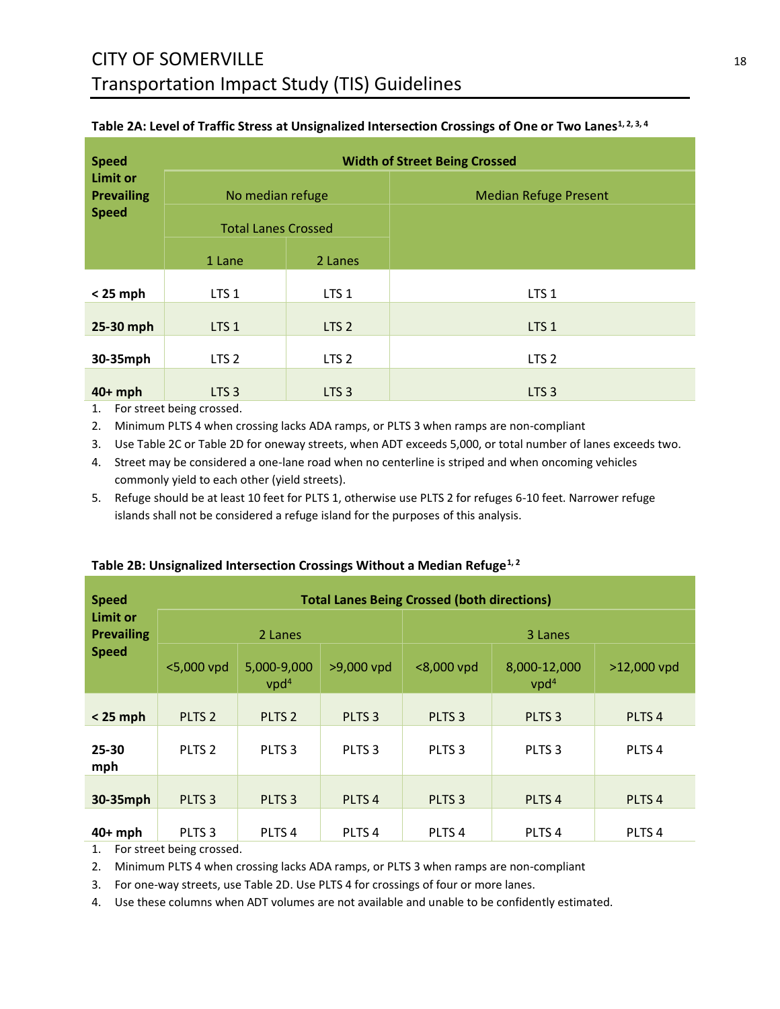| <b>Speed</b>                                         | <b>Width of Street Being Crossed</b>           |                  |                              |  |
|------------------------------------------------------|------------------------------------------------|------------------|------------------------------|--|
| <b>Limit or</b><br><b>Prevailing</b><br><b>Speed</b> | No median refuge<br><b>Total Lanes Crossed</b> |                  | <b>Median Refuge Present</b> |  |
|                                                      | 1 Lane                                         | 2 Lanes          |                              |  |
| $< 25$ mph                                           | LTS <sub>1</sub>                               | LTS <sub>1</sub> | LTS <sub>1</sub>             |  |
| 25-30 mph                                            | LTS <sub>1</sub>                               | LTS <sub>2</sub> | LTS <sub>1</sub>             |  |
| 30-35mph                                             | LTS <sub>2</sub>                               | LTS <sub>2</sub> | LTS <sub>2</sub>             |  |
| $40+mph$                                             | LTS <sub>3</sub>                               | LTS <sub>3</sub> | LTS <sub>3</sub>             |  |

#### **Table 2A: Level of Traffic Stress at Unsignalized Intersection Crossings of One or Two Lanes1, 2, 3, 4**

1. For street being crossed.

2. Minimum PLTS 4 when crossing lacks ADA ramps, or PLTS 3 when ramps are non-compliant

3. Use Table 2C or Table 2D for oneway streets, when ADT exceeds 5,000, or total number of lanes exceeds two.

4. Street may be considered a one-lane road when no centerline is striped and when oncoming vehicles commonly yield to each other (yield streets).

5. Refuge should be at least 10 feet for PLTS 1, otherwise use PLTS 2 for refuges 6-10 feet. Narrower refuge islands shall not be considered a refuge island for the purposes of this analysis.

| <b>Speed</b>                         | <b>Total Lanes Being Crossed (both directions)</b> |                                 |                   |                   |                                  |                   |  |
|--------------------------------------|----------------------------------------------------|---------------------------------|-------------------|-------------------|----------------------------------|-------------------|--|
| <b>Limit or</b><br><b>Prevailing</b> | 2 Lanes                                            |                                 |                   | 3 Lanes           |                                  |                   |  |
| <b>Speed</b>                         | <5,000 vpd                                         | 5,000-9,000<br>vpd <sup>4</sup> | >9,000 vpd        | <8,000 vpd        | 8,000-12,000<br>vpd <sup>4</sup> | >12,000 vpd       |  |
| $< 25$ mph                           | PLTS <sub>2</sub>                                  | PLTS <sub>2</sub>               | PLTS <sub>3</sub> | PLTS <sub>3</sub> | PLTS <sub>3</sub>                | PLTS <sub>4</sub> |  |
| 25-30<br>mph                         | PLTS <sub>2</sub>                                  | PLTS <sub>3</sub>               | PLTS <sub>3</sub> | PLTS <sub>3</sub> | PLTS <sub>3</sub>                | PLTS <sub>4</sub> |  |
| 30-35mph                             | PLTS <sub>3</sub>                                  | PLTS <sub>3</sub>               | PLTS <sub>4</sub> | PLTS <sub>3</sub> | PLTS <sub>4</sub>                | PLTS <sub>4</sub> |  |
| $40+mph$                             | PLTS <sub>3</sub>                                  | PLTS <sub>4</sub>               | PLTS <sub>4</sub> | PLTS <sub>4</sub> | PLTS <sub>4</sub>                | PLTS <sub>4</sub> |  |

#### **Table 2B: Unsignalized Intersection Crossings Without a Median Refuge1, 2**

1. For street being crossed.

2. Minimum PLTS 4 when crossing lacks ADA ramps, or PLTS 3 when ramps are non-compliant

3. For one-way streets, use Table 2D. Use PLTS 4 for crossings of four or more lanes.

4. Use these columns when ADT volumes are not available and unable to be confidently estimated.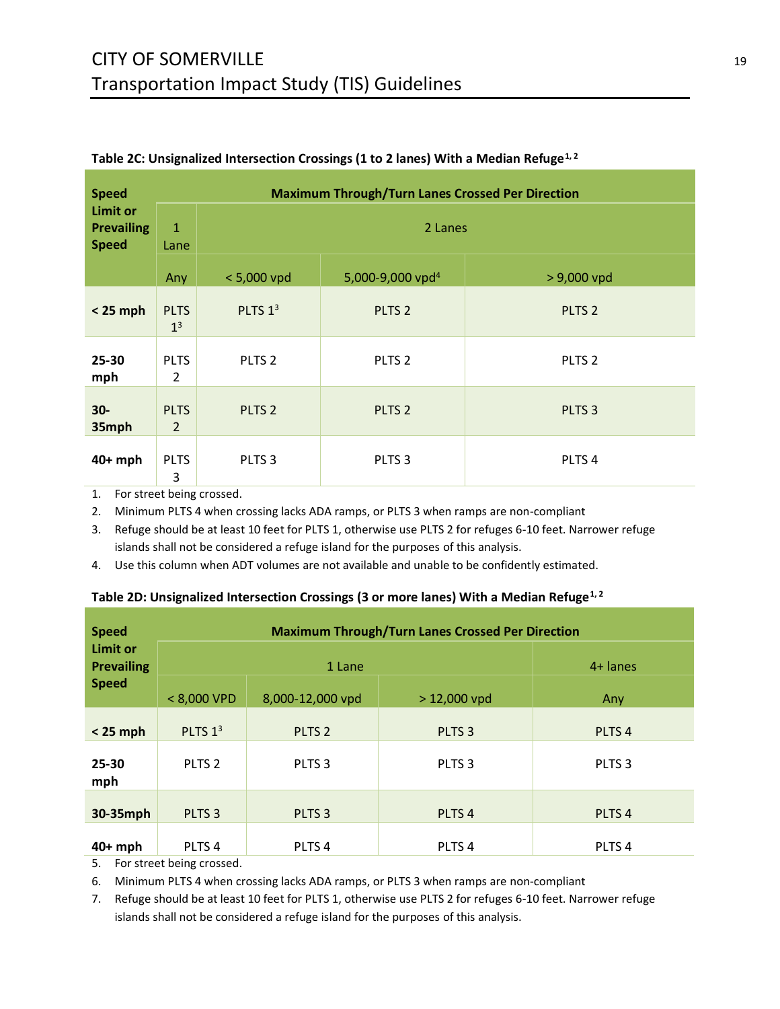| <b>Speed</b><br><b>Limit or</b><br><b>Prevailing</b><br><b>Speed</b> | <b>Maximum Through/Turn Lanes Crossed Per Direction</b> |                   |                              |                   |  |  |
|----------------------------------------------------------------------|---------------------------------------------------------|-------------------|------------------------------|-------------------|--|--|
|                                                                      | $\mathbf{1}$<br>Lane                                    | 2 Lanes           |                              |                   |  |  |
|                                                                      | Any                                                     | $< 5,000$ vpd     | 5,000-9,000 vpd <sup>4</sup> | $> 9,000$ vpd     |  |  |
| $< 25$ mph                                                           | <b>PLTS</b><br>1 <sup>3</sup>                           | PLTS $13$         | PLTS <sub>2</sub>            | PLTS <sub>2</sub> |  |  |
| 25-30<br>mph                                                         | <b>PLTS</b><br>$\overline{2}$                           | PLTS <sub>2</sub> | PLTS <sub>2</sub>            | PLTS <sub>2</sub> |  |  |
| $30-$<br>35mph                                                       | <b>PLTS</b><br>$\overline{2}$                           | PLTS <sub>2</sub> | PLTS <sub>2</sub>            | PLTS <sub>3</sub> |  |  |
| $40+mph$                                                             | <b>PLTS</b><br>3                                        | PLTS <sub>3</sub> | PLTS <sub>3</sub>            | PLTS <sub>4</sub> |  |  |

#### **Table 2C: Unsignalized Intersection Crossings (1 to 2 lanes) With a Median Refuge1, 2**

1. For street being crossed.

2. Minimum PLTS 4 when crossing lacks ADA ramps, or PLTS 3 when ramps are non-compliant

3. Refuge should be at least 10 feet for PLTS 1, otherwise use PLTS 2 for refuges 6-10 feet. Narrower refuge islands shall not be considered a refuge island for the purposes of this analysis.

4. Use this column when ADT volumes are not available and unable to be confidently estimated.

#### **Table 2D: Unsignalized Intersection Crossings (3 or more lanes) With a Median Refuge1, 2**

| <b>Speed</b><br><b>Limit or</b><br><b>Prevailing</b><br><b>Speed</b> | <b>Maximum Through/Turn Lanes Crossed Per Direction</b> |                   |                   |                   |  |  |
|----------------------------------------------------------------------|---------------------------------------------------------|-------------------|-------------------|-------------------|--|--|
|                                                                      |                                                         | 1 Lane            | $4+$ lanes        |                   |  |  |
|                                                                      | $< 8,000$ VPD                                           | 8,000-12,000 vpd  | $> 12,000$ vpd    | Any               |  |  |
| $< 25$ mph                                                           | PLTS <sub>13</sub>                                      | PLTS <sub>2</sub> | PLTS <sub>3</sub> | PLTS <sub>4</sub> |  |  |
| 25-30<br>mph                                                         | PLTS <sub>2</sub>                                       | PLTS <sub>3</sub> | PLTS <sub>3</sub> | PLTS <sub>3</sub> |  |  |
| 30-35mph                                                             | PLTS <sub>3</sub>                                       | PLTS <sub>3</sub> | PLTS <sub>4</sub> | PLTS <sub>4</sub> |  |  |
| $40+mph$                                                             | PLTS <sub>4</sub>                                       | PLTS <sub>4</sub> | PLTS <sub>4</sub> | PLTS <sub>4</sub> |  |  |

5. For street being crossed.

6. Minimum PLTS 4 when crossing lacks ADA ramps, or PLTS 3 when ramps are non-compliant

7. Refuge should be at least 10 feet for PLTS 1, otherwise use PLTS 2 for refuges 6-10 feet. Narrower refuge islands shall not be considered a refuge island for the purposes of this analysis.